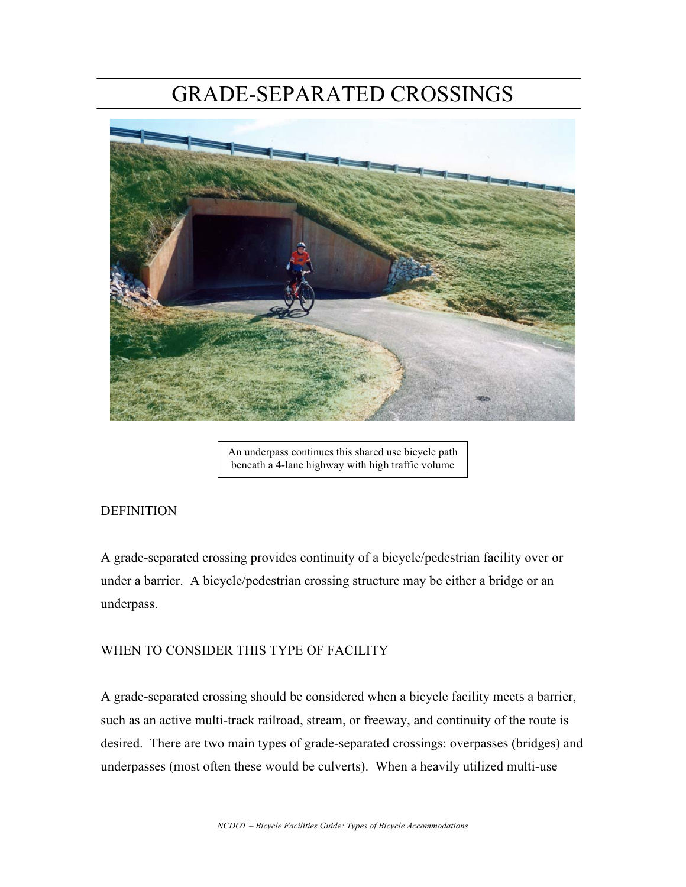# GRADE-SEPARATED CROSSINGS



An underpass continues this shared use bicycle path beneath a 4-lane highway with high traffic volume

# **DEFINITION**

A grade-separated crossing provides continuity of a bicycle/pedestrian facility over or under a barrier. A bicycle/pedestrian crossing structure may be either a bridge or an underpass.

# WHEN TO CONSIDER THIS TYPE OF FACILITY

A grade-separated crossing should be considered when a bicycle facility meets a barrier, such as an active multi-track railroad, stream, or freeway, and continuity of the route is desired. There are two main types of grade-separated crossings: overpasses (bridges) and underpasses (most often these would be culverts). When a heavily utilized multi-use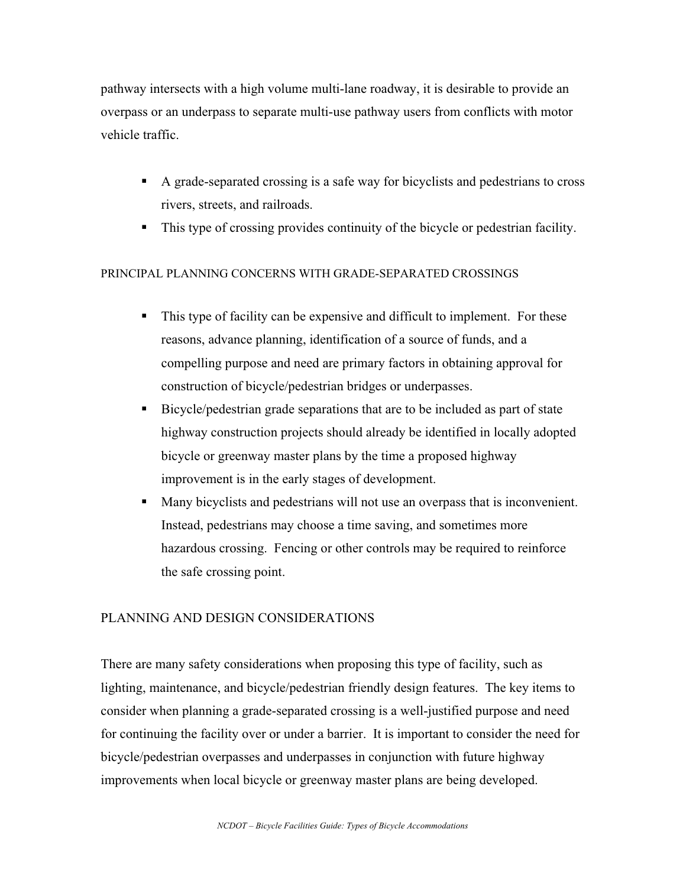pathway intersects with a high volume multi-lane roadway, it is desirable to provide an overpass or an underpass to separate multi-use pathway users from conflicts with motor vehicle traffic.

- A grade-separated crossing is a safe way for bicyclists and pedestrians to cross rivers, streets, and railroads.
- This type of crossing provides continuity of the bicycle or pedestrian facility.

### PRINCIPAL PLANNING CONCERNS WITH GRADE-SEPARATED CROSSINGS

- This type of facility can be expensive and difficult to implement. For these reasons, advance planning, identification of a source of funds, and a compelling purpose and need are primary factors in obtaining approval for construction of bicycle/pedestrian bridges or underpasses.
- Bicycle/pedestrian grade separations that are to be included as part of state highway construction projects should already be identified in locally adopted bicycle or greenway master plans by the time a proposed highway improvement is in the early stages of development.
- Many bicyclists and pedestrians will not use an overpass that is inconvenient. Instead, pedestrians may choose a time saving, and sometimes more hazardous crossing. Fencing or other controls may be required to reinforce the safe crossing point.

### PLANNING AND DESIGN CONSIDERATIONS

There are many safety considerations when proposing this type of facility, such as lighting, maintenance, and bicycle/pedestrian friendly design features. The key items to consider when planning a grade-separated crossing is a well-justified purpose and need for continuing the facility over or under a barrier. It is important to consider the need for bicycle/pedestrian overpasses and underpasses in conjunction with future highway improvements when local bicycle or greenway master plans are being developed.